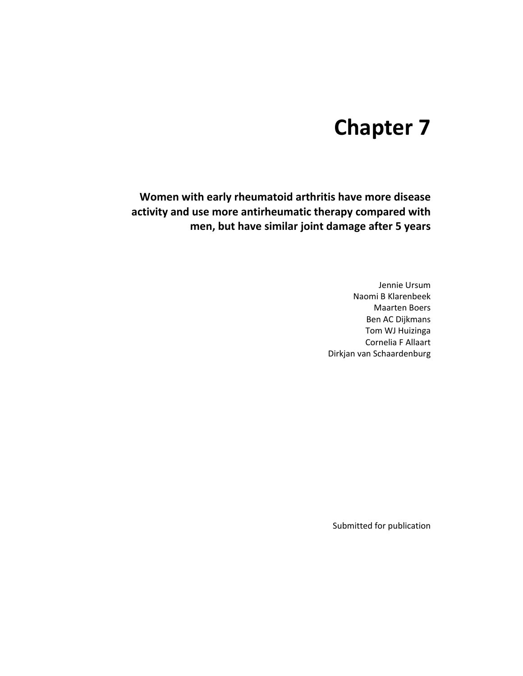# **Chapter 7**

**Women with early rheumatoid arthritis have more disease activity and use more antirheumatic therapy compared with men, but have similar joint damage after 5 years** 

> Jennie Ursum Naomi B Klarenbeek Maarten Boers Ben AC Dijkmans Tom WJ Huizinga Cornelia F Allaart Dirkjan van Schaardenburg

Submitted for publication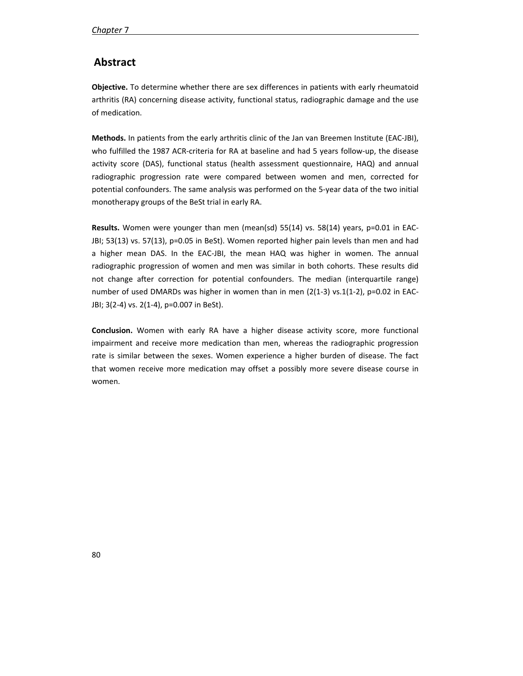# **Abstract**

**Objective.** To determine whether there are sex differences in patients with early rheumatoid arthritis (RA) concerning disease activity, functional status, radiographic damage and the use of medication.

**Methods.** In patients from the early arthritis clinic of the Jan van Breemen Institute (EAC-JBI), who fulfilled the 1987 ACR-criteria for RA at baseline and had 5 years follow-up, the disease activity score (DAS), functional status (health assessment questionnaire, HAQ) and annual radiographic progression rate were compared between women and men, corrected for potential confounders. The same analysis was performed on the 5-year data of the two initial monotherapy groups of the BeSt trial in early RA.

**Results.** Women were younger than men (mean(sd) 55(14) vs. 58(14) years, p=0.01 in EAC-JBI; 53(13) vs. 57(13), p=0.05 in BeSt). Women reported higher pain levels than men and had a higher mean DAS. In the EAC-JBI, the mean HAQ was higher in women. The annual radiographic progression of women and men was similar in both cohorts. These results did not change after correction for potential confounders. The median (interquartile range) number of used DMARDs was higher in women than in men (2(1-3) vs.1(1-2), p=0.02 in EAC-JBI; 3(2-4) vs. 2(1-4), p=0.007 in BeSt).

**Conclusion.** Women with early RA have a higher disease activity score, more functional impairment and receive more medication than men, whereas the radiographic progression rate is similar between the sexes. Women experience a higher burden of disease. The fact that women receive more medication may offset a possibly more severe disease course in women.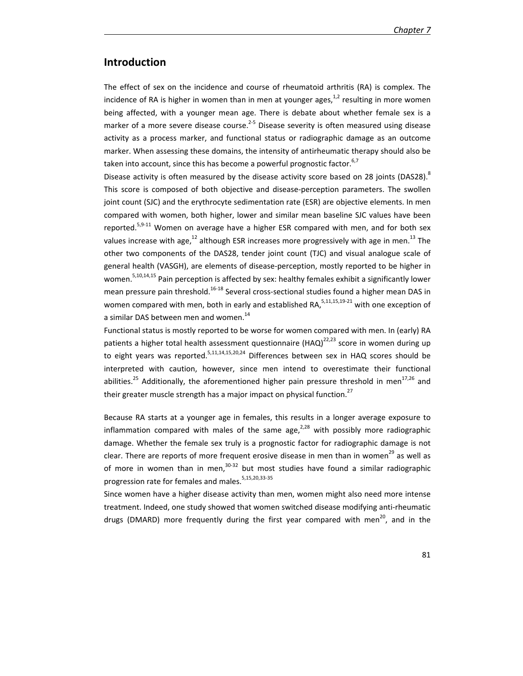# **Introduction**

The effect of sex on the incidence and course of rheumatoid arthritis (RA) is complex. The incidence of RA is higher in women than in men at younger ages, $^{1,2}$  resulting in more women being affected, with a younger mean age. There is debate about whether female sex is a marker of a more severe disease course.<sup>2-5</sup> Disease severity is often measured using disease activity as a process marker, and functional status or radiographic damage as an outcome marker. When assessing these domains, the intensity of antirheumatic therapy should also be taken into account, since this has become a powerful prognostic factor.  $6,7$ 

Disease activity is often measured by the disease activity score based on 28 joints (DAS28).<sup>8</sup> This score is composed of both objective and disease-perception parameters. The swollen joint count (SJC) and the erythrocyte sedimentation rate (ESR) are objective elements. In men compared with women, both higher, lower and similar mean baseline SJC values have been reported.<sup>5,9-11</sup> Women on average have a higher ESR compared with men, and for both sex values increase with age,<sup>12</sup> although ESR increases more progressively with age in men.<sup>13</sup> The other two components of the DAS28, tender joint count (TJC) and visual analogue scale of general health (VASGH), are elements of disease-perception, mostly reported to be higher in women.<sup>5,10,14,15</sup> Pain perception is affected by sex: healthy females exhibit a significantly lower mean pressure pain threshold.<sup>16-18</sup> Several cross-sectional studies found a higher mean DAS in women compared with men, both in early and established RA, $5,11,15,19-21$  with one exception of a similar DAS between men and women. $^{14}$ 

Functional status is mostly reported to be worse for women compared with men. In (early) RA patients a higher total health assessment questionnaire  $(HAQ)^{22,23}$  score in women during up to eight years was reported.<sup>5,11,14,15,20,24</sup> Differences between sex in HAQ scores should be interpreted with caution, however, since men intend to overestimate their functional abilities.<sup>25</sup> Additionally, the aforementioned higher pain pressure threshold in men<sup>17,26</sup> and their greater muscle strength has a major impact on physical function.<sup>27</sup>

Because RA starts at a younger age in females, this results in a longer average exposure to inflammation compared with males of the same age, $^{2,28}$  with possibly more radiographic damage. Whether the female sex truly is a prognostic factor for radiographic damage is not clear. There are reports of more frequent erosive disease in men than in women<sup>29</sup> as well as of more in women than in men, $30-32$  but most studies have found a similar radiographic progression rate for females and males.<sup>5,15,20,33-35</sup>

Since women have a higher disease activity than men, women might also need more intense treatment. Indeed, one study showed that women switched disease modifying anti-rheumatic drugs (DMARD) more frequently during the first year compared with men<sup>20</sup>, and in the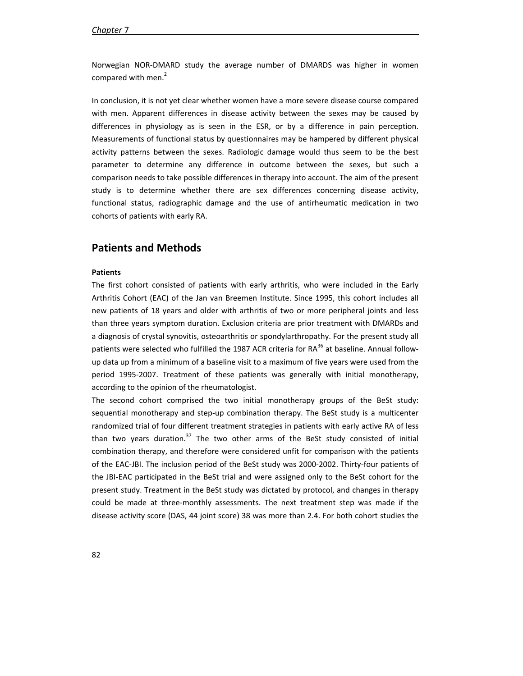Norwegian NOR-DMARD study the average number of DMARDS was higher in women compared with men.<sup>2</sup>

In conclusion, it is not yet clear whether women have a more severe disease course compared with men. Apparent differences in disease activity between the sexes may be caused by differences in physiology as is seen in the ESR, or by a difference in pain perception. Measurements of functional status by questionnaires may be hampered by different physical activity patterns between the sexes. Radiologic damage would thus seem to be the best parameter to determine any difference in outcome between the sexes, but such a comparison needs to take possible differences in therapy into account. The aim of the present study is to determine whether there are sex differences concerning disease activity, functional status, radiographic damage and the use of antirheumatic medication in two cohorts of patients with early RA.

## **Patients and Methods**

## **Patients**

The first cohort consisted of patients with early arthritis, who were included in the Early Arthritis Cohort (EAC) of the Jan van Breemen Institute. Since 1995, this cohort includes all new patients of 18 years and older with arthritis of two or more peripheral joints and less than three years symptom duration. Exclusion criteria are prior treatment with DMARDs and a diagnosis of crystal synovitis, osteoarthritis or spondylarthropathy. For the present study all patients were selected who fulfilled the 1987 ACR criteria for  $RA^{36}$  at baseline. Annual followup data up from a minimum of a baseline visit to a maximum of five years were used from the period 1995-2007. Treatment of these patients was generally with initial monotherapy, according to the opinion of the rheumatologist.

The second cohort comprised the two initial monotherapy groups of the BeSt study: sequential monotherapy and step-up combination therapy. The BeSt study is a multicenter randomized trial of four different treatment strategies in patients with early active RA of less than two years duration.<sup>37</sup> The two other arms of the BeSt study consisted of initial combination therapy, and therefore were considered unfit for comparison with the patients of the EAC-JBI. The inclusion period of the BeSt study was 2000-2002. Thirty-four patients of the JBI-EAC participated in the BeSt trial and were assigned only to the BeSt cohort for the present study. Treatment in the BeSt study was dictated by protocol, and changes in therapy could be made at three-monthly assessments. The next treatment step was made if the disease activity score (DAS, 44 joint score) 38 was more than 2.4. For both cohort studies the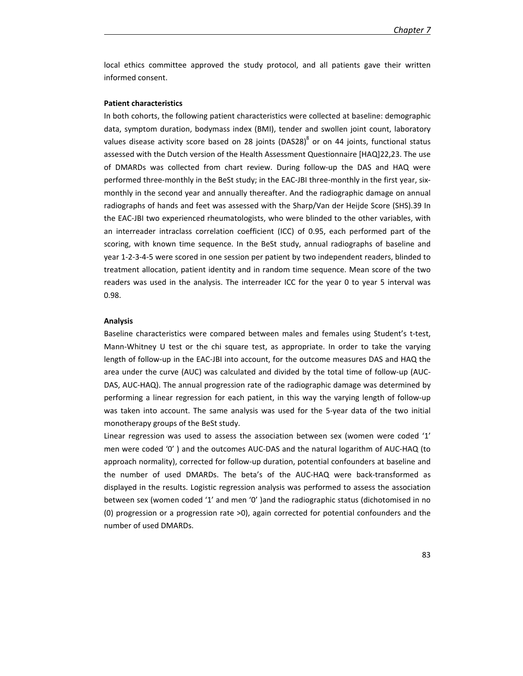local ethics committee approved the study protocol, and all patients gave their written informed consent.

## **Patient characteristics**

In both cohorts, the following patient characteristics were collected at baseline: demographic data, symptom duration, bodymass index (BMI), tender and swollen joint count, laboratory values disease activity score based on 28 joints (DAS28) $^8$  or on 44 joints, functional status assessed with the Dutch version of the Health Assessment Questionnaire [HAQ]22,23. The use of DMARDs was collected from chart review. During follow-up the DAS and HAQ were performed three-monthly in the BeSt study; in the EAC-JBI three-monthly in the first year, sixmonthly in the second year and annually thereafter. And the radiographic damage on annual radiographs of hands and feet was assessed with the Sharp/Van der Heijde Score (SHS).39 In the EAC-JBI two experienced rheumatologists, who were blinded to the other variables, with an interreader intraclass correlation coefficient (ICC) of 0.95, each performed part of the scoring, with known time sequence. In the BeSt study, annual radiographs of baseline and year 1-2-3-4-5 were scored in one session per patient by two independent readers, blinded to treatment allocation, patient identity and in random time sequence. Mean score of the two readers was used in the analysis. The interreader ICC for the year 0 to year 5 interval was 0.98.

#### **Analysis**

Baseline characteristics were compared between males and females using Student's t-test, Mann-Whitney U test or the chi square test, as appropriate. In order to take the varying length of follow-up in the EAC-JBI into account, for the outcome measures DAS and HAQ the area under the curve (AUC) was calculated and divided by the total time of follow-up (AUC-DAS, AUC-HAQ). The annual progression rate of the radiographic damage was determined by performing a linear regression for each patient, in this way the varying length of follow-up was taken into account. The same analysis was used for the 5-year data of the two initial monotherapy groups of the BeSt study.

Linear regression was used to assess the association between sex (women were coded '1' men were coded '0' ) and the outcomes AUC-DAS and the natural logarithm of AUC-HAQ (to approach normality), corrected for follow-up duration, potential confounders at baseline and the number of used DMARDs. The beta's of the AUC-HAQ were back-transformed as displayed in the results. Logistic regression analysis was performed to assess the association between sex (women coded '1' and men '0' )and the radiographic status (dichotomised in no (0) progression or a progression rate >0), again corrected for potential confounders and the number of used DMARDs.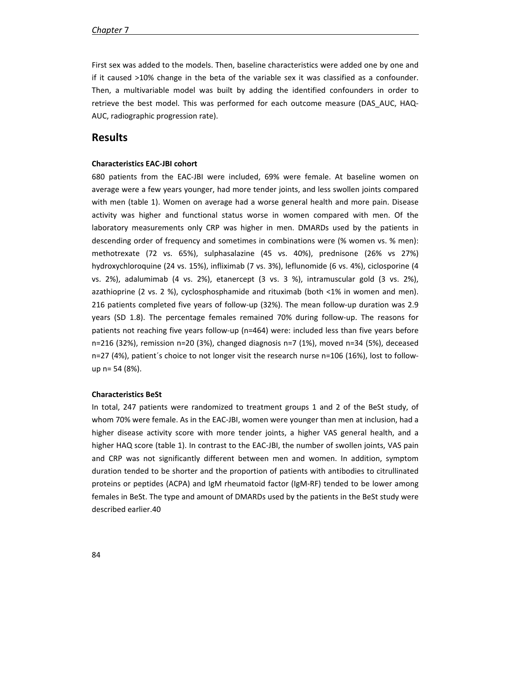First sex was added to the models. Then, baseline characteristics were added one by one and if it caused >10% change in the beta of the variable sex it was classified as a confounder. Then, a multivariable model was built by adding the identified confounders in order to retrieve the best model. This was performed for each outcome measure (DAS\_AUC, HAQ-AUC, radiographic progression rate).

## **Results**

## **Characteristics EAC-JBI cohort**

680 patients from the EAC-JBI were included, 69% were female. At baseline women on average were a few years younger, had more tender joints, and less swollen joints compared with men (table 1). Women on average had a worse general health and more pain. Disease activity was higher and functional status worse in women compared with men. Of the laboratory measurements only CRP was higher in men. DMARDs used by the patients in descending order of frequency and sometimes in combinations were (% women vs. % men): methotrexate (72 vs. 65%), sulphasalazine (45 vs. 40%), prednisone (26% vs 27%) hydroxychloroquine (24 vs. 15%), infliximab (7 vs. 3%), leflunomide (6 vs. 4%), ciclosporine (4 vs. 2%), adalumimab (4 vs. 2%), etanercept (3 vs. 3 %), intramuscular gold (3 vs. 2%), azathioprine (2 vs. 2 %), cyclosphosphamide and rituximab (both <1% in women and men). 216 patients completed five years of follow-up (32%). The mean follow-up duration was 2.9 years (SD 1.8). The percentage females remained 70% during follow-up. The reasons for patients not reaching five years follow-up (n=464) were: included less than five years before n=216 (32%), remission n=20 (3%), changed diagnosis n=7 (1%), moved n=34 (5%), deceased n=27 (4%), patient´s choice to not longer visit the research nurse n=106 (16%), lost to followup n= 54 (8%).

## **Characteristics BeSt**

In total, 247 patients were randomized to treatment groups 1 and 2 of the BeSt study, of whom 70% were female. As in the EAC-JBI, women were younger than men at inclusion, had a higher disease activity score with more tender joints, a higher VAS general health, and a higher HAQ score (table 1). In contrast to the EAC-JBI, the number of swollen joints, VAS pain and CRP was not significantly different between men and women. In addition, symptom duration tended to be shorter and the proportion of patients with antibodies to citrullinated proteins or peptides (ACPA) and IgM rheumatoid factor (IgM-RF) tended to be lower among females in BeSt. The type and amount of DMARDs used by the patients in the BeSt study were described earlier.40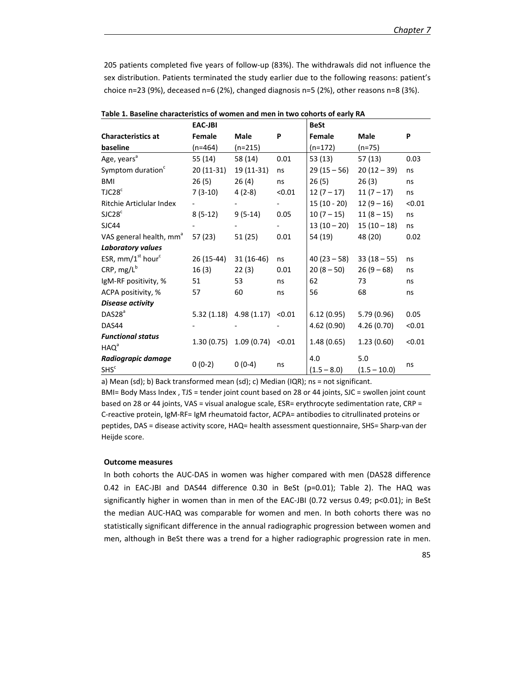205 patients completed five years of follow-up (83%). The withdrawals did not influence the sex distribution. Patients terminated the study earlier due to the following reasons: patient's choice n=23 (9%), deceased n=6 (2%), changed diagnosis n=5 (2%), other reasons n=8 (3%).

|                                     | <b>EAC-JBI</b> |                            |        | <b>BeSt</b>   |                |        |
|-------------------------------------|----------------|----------------------------|--------|---------------|----------------|--------|
| <b>Characteristics at</b>           | Female         | Male                       | P      | Female        | Male           | P      |
| baseline                            | $(n=464)$      | $(n=215)$                  |        | $(n=172)$     | (n=75)         |        |
| Age, years <sup>a</sup>             | 55(14)         | 58 (14)                    | 0.01   | 53(13)        | 57 (13)        | 0.03   |
| Symptom duration <sup>c</sup>       | $20(11-31)$    | 19 (11-31)                 | ns     | $29(15-56)$   | $20(12-39)$    | ns     |
| <b>BMI</b>                          | 26(5)          | 26(4)                      | ns     | 26(5)         | 26(3)          | ns     |
| TJC28 <sup>c</sup>                  | $7(3-10)$      | $4(2-8)$                   | < 0.01 | $12(7 - 17)$  | $11(7 - 17)$   | ns     |
| <b>Ritchie Articlular Index</b>     |                |                            |        | 15 (10 - 20)  | $12(9-16)$     | < 0.01 |
| SIC28 <sup>c</sup>                  | $8(5-12)$      | $9(5-14)$                  | 0.05   | $10(7 - 15)$  | $11(8-15)$     | ns     |
| SJC44                               |                |                            |        | $13(10-20)$   | $15(10-18)$    | ns     |
| VAS general health, mm <sup>a</sup> | 57 (23)        | 51 (25)                    | 0.01   | 54 (19)       | 48 (20)        | 0.02   |
| Laboratory values                   |                |                            |        |               |                |        |
| ESR, $mm/1st hourc$                 | 26 (15-44)     | $31(16-46)$                | ns     | $40(23-58)$   | $33(18-55)$    | ns     |
| CRP, $mg/L^b$                       | 16(3)          | 22(3)                      | 0.01   | $20(8 - 50)$  | $26(9-68)$     | ns     |
| IgM-RF positivity, %                | 51             | 53                         | ns     | 62            | 73             | ns     |
| ACPA positivity, %                  | 57             | 60                         | ns     | 56            | 68             | ns     |
| Disease activity                    |                |                            |        |               |                |        |
| DAS28 <sup>a</sup>                  |                | $5.32(1.18)$ 4.98 $(1.17)$ | < 0.01 | 6.12(0.95)    | 5.79(0.96)     | 0.05   |
| DAS44                               |                |                            |        | 4.62 (0.90)   | 4.26(0.70)     | < 0.01 |
| <b>Functional status</b>            |                |                            |        |               |                |        |
| HAQ <sup>a</sup>                    | 1.30(0.75)     | 1.09(0.74)                 | < 0.01 | 1.48(0.65)    | 1.23(0.60)     | < 0.01 |
| Radiograpic damage                  |                |                            |        | 4.0           | 5.0            |        |
| SHS <sup>c</sup>                    | $0(0-2)$       | $0(0-4)$                   | ns     | $(1.5 - 8.0)$ | $(1.5 - 10.0)$ | ns     |

| Table 1. Baseline characteristics of women and men in two cohorts of early RA |  |  |  |  |  |  |  |  |  |
|-------------------------------------------------------------------------------|--|--|--|--|--|--|--|--|--|
|-------------------------------------------------------------------------------|--|--|--|--|--|--|--|--|--|

a) Mean (sd); b) Back transformed mean (sd); c) Median (IQR); ns = not significant.

BMI= Body Mass Index, TJS = tender joint count based on 28 or 44 joints, SJC = swollen joint count based on 28 or 44 joints, VAS = visual analogue scale, ESR= erythrocyte sedimentation rate, CRP = C-reactive protein, IgM-RF= IgM rheumatoid factor, ACPA= antibodies to citrullinated proteins or peptides, DAS = disease activity score, HAQ= health assessment questionnaire, SHS= Sharp-van der Heijde score.

### **Outcome measures**

In both cohorts the AUC-DAS in women was higher compared with men (DAS28 difference 0.42 in EAC-JBI and DAS44 difference 0.30 in BeSt (p=0.01); Table 2). The HAQ was significantly higher in women than in men of the EAC-JBI (0.72 versus 0.49; p<0.01); in BeSt the median AUC-HAQ was comparable for women and men. In both cohorts there was no statistically significant difference in the annual radiographic progression between women and men, although in BeSt there was a trend for a higher radiographic progression rate in men.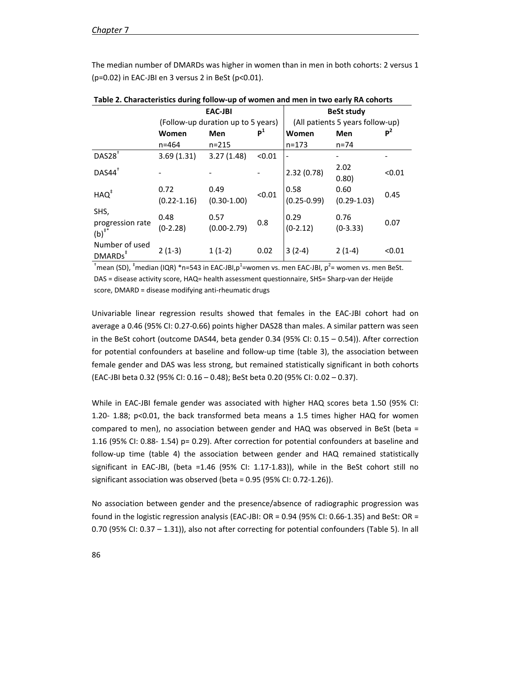The median number of DMARDs was higher in women than in men in both cohorts: 2 versus 1 (p=0.02) in EAC-JBI en 3 versus 2 in BeSt (p<0.01).

|                                                 | <b>EAC-JBI</b>                     |                         |        | <b>BeSt study</b>                |                         |        |  |
|-------------------------------------------------|------------------------------------|-------------------------|--------|----------------------------------|-------------------------|--------|--|
|                                                 | (Follow-up duration up to 5 years) |                         |        | (All patients 5 years follow-up) |                         |        |  |
|                                                 | Women                              | P <sup>1</sup><br>Men   |        | Women                            | Men                     | $P^2$  |  |
|                                                 | $n = 464$                          | $n = 215$               |        | $n = 173$                        | $n = 74$                |        |  |
| $DAS28^{\overline{\dagger}}$                    | 3.69(1.31)                         | 3.27(1.48)              | < 0.01 |                                  |                         |        |  |
| $DAS44$ <sup>+</sup>                            |                                    |                         |        | 2.32(0.78)                       | 2.02<br>0.80)           | < 0.01 |  |
| $HAQ^*$                                         | 0.72<br>$(0.22 - 1.16)$            | 0.49<br>$(0.30 - 1.00)$ | < 0.01 | 0.58<br>$(0.25 - 0.99)$          | 0.60<br>$(0.29 - 1.03)$ | 0.45   |  |
| SHS,<br>progression rate<br>$(b)$ <sup>#*</sup> | 0.48<br>$(0-2.28)$                 | 0.57<br>$(0.00-2.79)$   | 0.8    | 0.29<br>$(0-2.12)$               | 0.76<br>$(0-3.33)$      | 0.07   |  |
| Number of used<br>DMARDs <sup>#</sup>           | $2(1-3)$                           | $1(1-2)$                | 0.02   | $3(2-4)$                         | $2(1-4)$                | < 0.01 |  |

**Table 2. Characteristics during follow-up of women and men in two early RA cohorts**

 $^{\dagger}$ mean (SD),  $^{\dagger}$ median (IQR) \*n=543 in EAC-JBI,p $^{\dagger}$ =women vs. men EAC-JBI, p $^{\dagger}$ = women vs. men BeSt. DAS = disease activity score, HAQ= health assessment questionnaire, SHS= Sharp-van der Heijde score, DMARD = disease modifying anti-rheumatic drugs

Univariable linear regression results showed that females in the EAC-JBI cohort had on average a 0.46 (95% CI: 0.27-0.66) points higher DAS28 than males. A similar pattern was seen in the BeSt cohort (outcome DAS44, beta gender 0.34 (95% CI: 0.15 – 0.54)). After correction for potential confounders at baseline and follow-up time (table 3), the association between female gender and DAS was less strong, but remained statistically significant in both cohorts (EAC-JBI beta 0.32 (95% CI: 0.16 – 0.48); BeSt beta 0.20 (95% CI: 0.02 – 0.37).

While in EAC-JBI female gender was associated with higher HAQ scores beta 1.50 (95% CI: 1.20- 1.88; p<0.01, the back transformed beta means a 1.5 times higher HAQ for women compared to men), no association between gender and HAQ was observed in BeSt (beta = 1.16 (95% CI: 0.88- 1.54) p= 0.29). After correction for potential confounders at baseline and follow-up time (table 4) the association between gender and HAQ remained statistically significant in EAC-JBI, (beta =1.46 (95% CI: 1.17-1.83)), while in the BeSt cohort still no significant association was observed (beta = 0.95 (95% CI: 0.72-1.26)).

No association between gender and the presence/absence of radiographic progression was found in the logistic regression analysis (EAC-JBI: OR = 0.94 (95% CI: 0.66-1.35) and BeSt: OR = 0.70 (95% CI: 0.37 – 1.31)), also not after correcting for potential confounders (Table 5). In all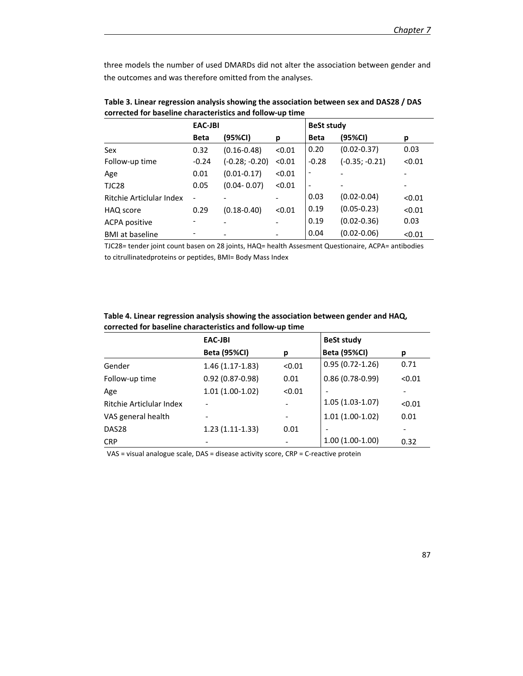three models the number of used DMARDs did not alter the association between gender and the outcomes and was therefore omitted from the analyses.

|                          | <b>EAC-JBI</b> |                  |        | <b>BeSt study</b> |                  |        |  |
|--------------------------|----------------|------------------|--------|-------------------|------------------|--------|--|
|                          | <b>Beta</b>    | (95%CI)          | р      | <b>Beta</b>       | (95%CI)          | р      |  |
| Sex                      | 0.32           | $(0.16 - 0.48)$  | < 0.01 | 0.20              | $(0.02 - 0.37)$  | 0.03   |  |
| Follow-up time           | $-0.24$        | $(-0.28; -0.20)$ | < 0.01 | $-0.28$           | $(-0.35; -0.21)$ | < 0.01 |  |
| Age                      | 0.01           | $(0.01 - 0.17)$  | < 0.01 | $\overline{a}$    |                  |        |  |
| TJC28                    | 0.05           | $(0.04 - 0.07)$  | < 0.01 | $\overline{a}$    |                  |        |  |
| Ritchie Articlular Index |                |                  |        | 0.03              | $(0.02 - 0.04)$  | < 0.01 |  |
| HAQ score                | 0.29           | $(0.18 - 0.40)$  | < 0.01 | 0.19              | $(0.05 - 0.23)$  | < 0.01 |  |
| <b>ACPA positive</b>     |                |                  |        | 0.19              | $(0.02 - 0.36)$  | 0.03   |  |
| <b>BMI</b> at baseline   |                |                  |        | 0.04              | $(0.02 - 0.06)$  | < 0.01 |  |

**Table 3. Linear regression analysis showing the association between sex and DAS28 / DAS corrected for baseline characteristics and follow-up time**

TJC28= tender joint count basen on 28 joints, HAQ= health Assesment Questionaire, ACPA= antibodies to citrullinatedproteins or peptides, BMI= Body Mass Index

| Table 4. Linear regression analysis showing the association between gender and HAQ, |
|-------------------------------------------------------------------------------------|
| corrected for baseline characteristics and follow-up time                           |

|                          | EAC-JBI             |        | <b>BeSt study</b>            |        |
|--------------------------|---------------------|--------|------------------------------|--------|
|                          | <b>Beta (95%CI)</b> | р      | <b>Beta (95%CI)</b>          | р      |
| Gender                   | $1.46(1.17-1.83)$   | < 0.01 | $0.95(0.72 - 1.26)$          | 0.71   |
| Follow-up time           | $0.92(0.87 - 0.98)$ | 0.01   | $0.86(0.78-0.99)$            | < 0.01 |
| Age                      | $1.01(1.00-1.02)$   | < 0.01 |                              |        |
| Ritchie Articlular Index |                     |        | $1.05(1.03-1.07)$            | < 0.01 |
| VAS general health       |                     |        | $1.01(1.00-1.02)$            | 0.01   |
| DAS <sub>28</sub>        | $1.23(1.11-1.33)$   | 0.01   | $\qquad \qquad \blacksquare$ |        |
| <b>CRP</b>               |                     |        | $1.00(1.00-1.00)$            | 0.32   |

VAS = visual analogue scale, DAS = disease activity score, CRP = C-reactive protein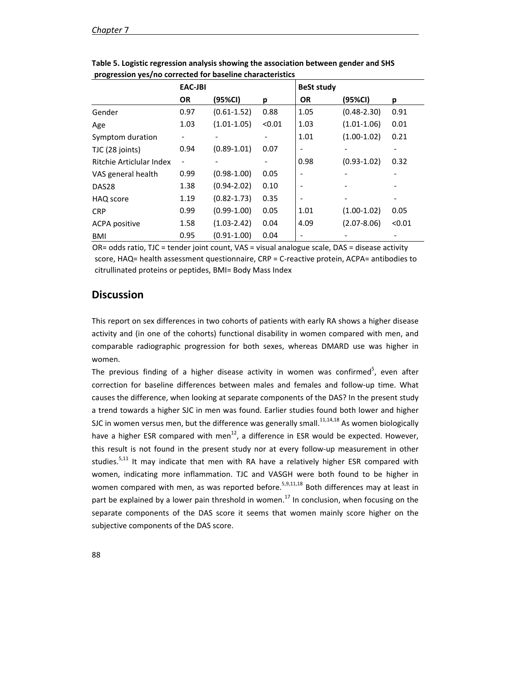|                          | <b>EAC-JBI</b> |                 |        | <b>BeSt study</b> |                 |        |
|--------------------------|----------------|-----------------|--------|-------------------|-----------------|--------|
|                          | <b>OR</b>      | (95%CI)         | р      | <b>OR</b>         | (95%CI)         | р      |
| Gender                   | 0.97           | $(0.61 - 1.52)$ | 0.88   | 1.05              | $(0.48 - 2.30)$ | 0.91   |
| Age                      | 1.03           | $(1.01 - 1.05)$ | < 0.01 | 1.03              | $(1.01 - 1.06)$ | 0.01   |
| Symptom duration         |                |                 |        | 1.01              | $(1.00-1.02)$   | 0.21   |
| TJC (28 joints)          | 0.94           | $(0.89 - 1.01)$ | 0.07   |                   |                 |        |
| Ritchie Articlular Index |                |                 |        | 0.98              | $(0.93 - 1.02)$ | 0.32   |
| VAS general health       | 0.99           | $(0.98 - 1.00)$ | 0.05   |                   |                 |        |
| DAS <sub>28</sub>        | 1.38           | $(0.94 - 2.02)$ | 0.10   |                   |                 |        |
| HAQ score                | 1.19           | $(0.82 - 1.73)$ | 0.35   |                   |                 |        |
| <b>CRP</b>               | 0.99           | $(0.99-1.00)$   | 0.05   | 1.01              | $(1.00-1.02)$   | 0.05   |
| <b>ACPA positive</b>     | 1.58           | $(1.03 - 2.42)$ | 0.04   | 4.09              | $(2.07 - 8.06)$ | < 0.01 |
| <b>BMI</b>               | 0.95           | $(0.91 - 1.00)$ | 0.04   |                   |                 |        |

**Table 5. Logistic regression analysis showing the association between gender and SHS progression yes/no corrected for baseline characteristics**

OR= odds ratio, TJC = tender joint count, VAS = visual analogue scale, DAS = disease activity score, HAQ= health assessment questionnaire, CRP = C-reactive protein, ACPA= antibodies to citrullinated proteins or peptides, BMI= Body Mass Index

# **Discussion**

This report on sex differences in two cohorts of patients with early RA shows a higher disease activity and (in one of the cohorts) functional disability in women compared with men, and comparable radiographic progression for both sexes, whereas DMARD use was higher in women.

The previous finding of a higher disease activity in women was confirmed<sup>5</sup>, even after correction for baseline differences between males and females and follow-up time. What causes the difference, when looking at separate components of the DAS? In the present study a trend towards a higher SJC in men was found. Earlier studies found both lower and higher SJC in women versus men, but the difference was generally small.<sup>11,14,18</sup> As women biologically have a higher ESR compared with men $^{12}$ , a difference in ESR would be expected. However, this result is not found in the present study nor at every follow-up measurement in other studies. $5,11$  It may indicate that men with RA have a relatively higher ESR compared with women, indicating more inflammation. TJC and VASGH were both found to be higher in women compared with men, as was reported before.<sup>5,9,11,18</sup> Both differences may at least in part be explained by a lower pain threshold in women.<sup>17</sup> In conclusion, when focusing on the separate components of the DAS score it seems that women mainly score higher on the subjective components of the DAS score.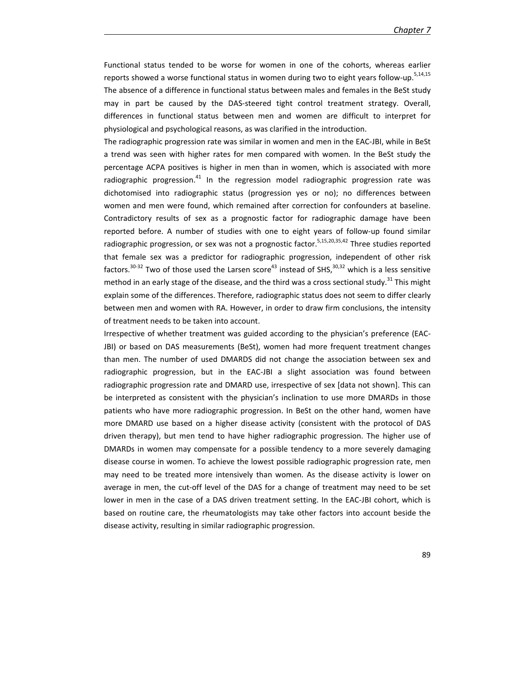Functional status tended to be worse for women in one of the cohorts, whereas earlier reports showed a worse functional status in women during two to eight years follow-up.<sup>5,14,15</sup> The absence of a difference in functional status between males and females in the BeSt study may in part be caused by the DAS-steered tight control treatment strategy. Overall, differences in functional status between men and women are difficult to interpret for physiological and psychological reasons, as was clarified in the introduction.

The radiographic progression rate was similar in women and men in the EAC-JBI, while in BeSt a trend was seen with higher rates for men compared with women. In the BeSt study the percentage ACPA positives is higher in men than in women, which is associated with more radiographic progression.<sup>41</sup> In the regression model radiographic progression rate was dichotomised into radiographic status (progression yes or no); no differences between women and men were found, which remained after correction for confounders at baseline. Contradictory results of sex as a prognostic factor for radiographic damage have been reported before. A number of studies with one to eight years of follow-up found similar radiographic progression, or sex was not a prognostic factor.<sup>5,15,20,35,42</sup> Three studies reported that female sex was a predictor for radiographic progression, independent of other risk factors.<sup>30-32</sup> Two of those used the Larsen score<sup>43</sup> instead of SHS,<sup>30,32</sup> which is a less sensitive method in an early stage of the disease, and the third was a cross sectional study.<sup>31</sup> This might explain some of the differences. Therefore, radiographic status does not seem to differ clearly between men and women with RA. However, in order to draw firm conclusions, the intensity of treatment needs to be taken into account.

Irrespective of whether treatment was guided according to the physician's preference (EAC-JBI) or based on DAS measurements (BeSt), women had more frequent treatment changes than men. The number of used DMARDS did not change the association between sex and radiographic progression, but in the EAC-JBI a slight association was found between radiographic progression rate and DMARD use, irrespective of sex [data not shown]. This can be interpreted as consistent with the physician's inclination to use more DMARDs in those patients who have more radiographic progression. In BeSt on the other hand, women have more DMARD use based on a higher disease activity (consistent with the protocol of DAS driven therapy), but men tend to have higher radiographic progression. The higher use of DMARDs in women may compensate for a possible tendency to a more severely damaging disease course in women. To achieve the lowest possible radiographic progression rate, men may need to be treated more intensively than women. As the disease activity is lower on average in men, the cut-off level of the DAS for a change of treatment may need to be set lower in men in the case of a DAS driven treatment setting. In the EAC-JBI cohort, which is based on routine care, the rheumatologists may take other factors into account beside the disease activity, resulting in similar radiographic progression.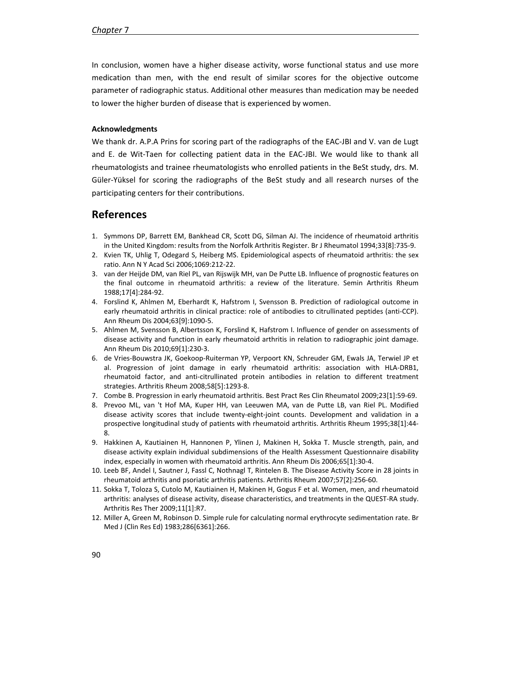In conclusion, women have a higher disease activity, worse functional status and use more medication than men, with the end result of similar scores for the objective outcome parameter of radiographic status. Additional other measures than medication may be needed to lower the higher burden of disease that is experienced by women.

### **Acknowledgments**

We thank dr. A.P.A Prins for scoring part of the radiographs of the EAC-JBI and V. van de Lugt and E. de Wit-Taen for collecting patient data in the EAC-JBI. We would like to thank all rheumatologists and trainee rheumatologists who enrolled patients in the BeSt study, drs. M. Güler-Yüksel for scoring the radiographs of the BeSt study and all research nurses of the participating centers for their contributions.

# **References**

- 1. Symmons DP, Barrett EM, Bankhead CR, Scott DG, Silman AJ. The incidence of rheumatoid arthritis in the United Kingdom: results from the Norfolk Arthritis Register. Br J Rheumatol 1994;33[8]:735-9.
- 2. Kvien TK, Uhlig T, Odegard S, Heiberg MS. Epidemiological aspects of rheumatoid arthritis: the sex ratio. Ann N Y Acad Sci 2006;1069:212-22.
- 3. van der Heijde DM, van Riel PL, van Rijswijk MH, van De Putte LB. Influence of prognostic features on the final outcome in rheumatoid arthritis: a review of the literature. Semin Arthritis Rheum 1988;17[4]:284-92.
- 4. Forslind K, Ahlmen M, Eberhardt K, Hafstrom I, Svensson B. Prediction of radiological outcome in early rheumatoid arthritis in clinical practice: role of antibodies to citrullinated peptides (anti-CCP). Ann Rheum Dis 2004;63[9]:1090-5.
- 5. Ahlmen M, Svensson B, Albertsson K, Forslind K, Hafstrom I. Influence of gender on assessments of disease activity and function in early rheumatoid arthritis in relation to radiographic joint damage. Ann Rheum Dis 2010;69[1]:230-3.
- 6. de Vries-Bouwstra JK, Goekoop-Ruiterman YP, Verpoort KN, Schreuder GM, Ewals JA, Terwiel JP et al. Progression of joint damage in early rheumatoid arthritis: association with HLA-DRB1, rheumatoid factor, and anti-citrullinated protein antibodies in relation to different treatment strategies. Arthritis Rheum 2008;58[5]:1293-8.
- 7. Combe B. Progression in early rheumatoid arthritis. Best Pract Res Clin Rheumatol 2009;23[1]:59-69.
- 8. Prevoo ML, van 't Hof MA, Kuper HH, van Leeuwen MA, van de Putte LB, van Riel PL. Modified disease activity scores that include twenty-eight-joint counts. Development and validation in a prospective longitudinal study of patients with rheumatoid arthritis. Arthritis Rheum 1995;38[1]:44- 8.
- 9. Hakkinen A, Kautiainen H, Hannonen P, Ylinen J, Makinen H, Sokka T. Muscle strength, pain, and disease activity explain individual subdimensions of the Health Assessment Questionnaire disability index, especially in women with rheumatoid arthritis. Ann Rheum Dis 2006;65[1]:30-4.
- 10. Leeb BF, Andel I, Sautner J, Fassl C, Nothnagl T, Rintelen B. The Disease Activity Score in 28 joints in rheumatoid arthritis and psoriatic arthritis patients. Arthritis Rheum 2007;57[2]:256-60.
- 11. Sokka T, Toloza S, Cutolo M, Kautiainen H, Makinen H, Gogus F et al. Women, men, and rheumatoid arthritis: analyses of disease activity, disease characteristics, and treatments in the QUEST-RA study. Arthritis Res Ther 2009;11[1]:R7.
- 12. Miller A, Green M, Robinson D. Simple rule for calculating normal erythrocyte sedimentation rate. Br Med J (Clin Res Ed) 1983;286[6361]:266.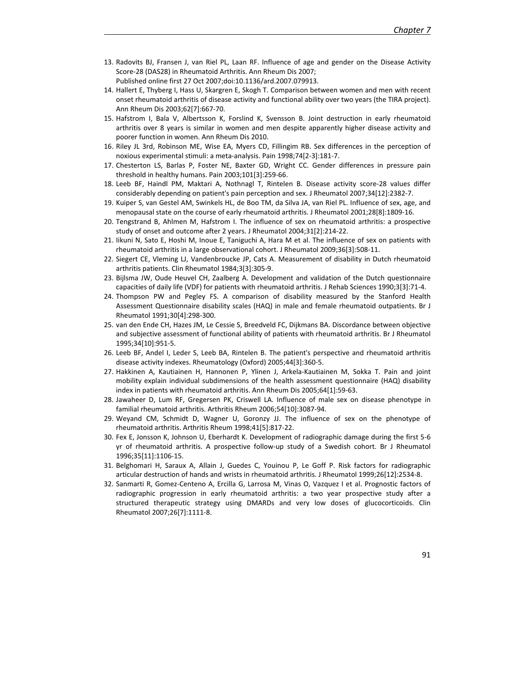- 13. Radovits BJ, Fransen J, van Riel PL, Laan RF. Influence of age and gender on the Disease Activity Score-28 (DAS28) in Rheumatoid Arthritis. Ann Rheum Dis 2007; Published online first 27 Oct 2007;doi:10.1136/ard.2007.079913.
- 14. Hallert E, Thyberg I, Hass U, Skargren E, Skogh T. Comparison between women and men with recent onset rheumatoid arthritis of disease activity and functional ability over two years (the TIRA project). Ann Rheum Dis 2003;62[7]:667-70.
- 15. Hafstrom I, Bala V, Albertsson K, Forslind K, Svensson B. Joint destruction in early rheumatoid arthritis over 8 years is similar in women and men despite apparently higher disease activity and poorer function in women. Ann Rheum Dis 2010.
- 16. Riley JL 3rd, Robinson ME, Wise EA, Myers CD, Fillingim RB. Sex differences in the perception of noxious experimental stimuli: a meta-analysis. Pain 1998;74[2-3]:181-7.
- 17. Chesterton LS, Barlas P, Foster NE, Baxter GD, Wright CC. Gender differences in pressure pain threshold in healthy humans. Pain 2003;101[3]:259-66.
- 18. Leeb BF, Haindl PM, Maktari A, Nothnagl T, Rintelen B. Disease activity score-28 values differ considerably depending on patient's pain perception and sex. J Rheumatol 2007;34[12]:2382-7.
- 19. Kuiper S, van Gestel AM, Swinkels HL, de Boo TM, da Silva JA, van Riel PL. Influence of sex, age, and menopausal state on the course of early rheumatoid arthritis. J Rheumatol 2001;28[8]:1809-16.
- 20. Tengstrand B, Ahlmen M, Hafstrom I. The influence of sex on rheumatoid arthritis: a prospective study of onset and outcome after 2 years. J Rheumatol 2004;31[2]:214-22.
- 21. Iikuni N, Sato E, Hoshi M, Inoue E, Taniguchi A, Hara M et al. The influence of sex on patients with rheumatoid arthritis in a large observational cohort. J Rheumatol 2009;36[3]:508-11.
- 22. Siegert CE, Vleming LJ, Vandenbroucke JP, Cats A. Measurement of disability in Dutch rheumatoid arthritis patients. Clin Rheumatol 1984;3[3]:305-9.
- 23. Bijlsma JW, Oude Heuvel CH, Zaalberg A. Development and validation of the Dutch questionnaire capacities of daily life (VDF) for patients with rheumatoid arthritis. J Rehab Sciences 1990;3[3]:71-4.
- 24. Thompson PW and Pegley FS. A comparison of disability measured by the Stanford Health Assessment Questionnaire disability scales (HAQ) in male and female rheumatoid outpatients. Br J Rheumatol 1991;30[4]:298-300.
- 25. van den Ende CH, Hazes JM, Le Cessie S, Breedveld FC, Dijkmans BA. Discordance between objective and subjective assessment of functional ability of patients with rheumatoid arthritis. Br J Rheumatol 1995;34[10]:951-5.
- 26. Leeb BF, Andel I, Leder S, Leeb BA, Rintelen B. The patient's perspective and rheumatoid arthritis disease activity indexes. Rheumatology (Oxford) 2005;44[3]:360-5.
- 27. Hakkinen A, Kautiainen H, Hannonen P, Ylinen J, Arkela-Kautiainen M, Sokka T. Pain and joint mobility explain individual subdimensions of the health assessment questionnaire (HAQ) disability index in patients with rheumatoid arthritis. Ann Rheum Dis 2005;64[1]:59-63.
- 28. Jawaheer D, Lum RF, Gregersen PK, Criswell LA. Influence of male sex on disease phenotype in familial rheumatoid arthritis. Arthritis Rheum 2006;54[10]:3087-94.
- 29. Weyand CM, Schmidt D, Wagner U, Goronzy JJ. The influence of sex on the phenotype of rheumatoid arthritis. Arthritis Rheum 1998;41[5]:817-22.
- 30. Fex E, Jonsson K, Johnson U, Eberhardt K. Development of radiographic damage during the first 5-6 yr of rheumatoid arthritis. A prospective follow-up study of a Swedish cohort. Br J Rheumatol 1996;35[11]:1106-15.
- 31. Belghomari H, Saraux A, Allain J, Guedes C, Youinou P, Le Goff P. Risk factors for radiographic articular destruction of hands and wrists in rheumatoid arthritis. J Rheumatol 1999;26[12]:2534-8.
- 32. Sanmarti R, Gomez-Centeno A, Ercilla G, Larrosa M, Vinas O, Vazquez I et al. Prognostic factors of radiographic progression in early rheumatoid arthritis: a two year prospective study after a structured therapeutic strategy using DMARDs and very low doses of glucocorticoids. Clin Rheumatol 2007;26[7]:1111-8.